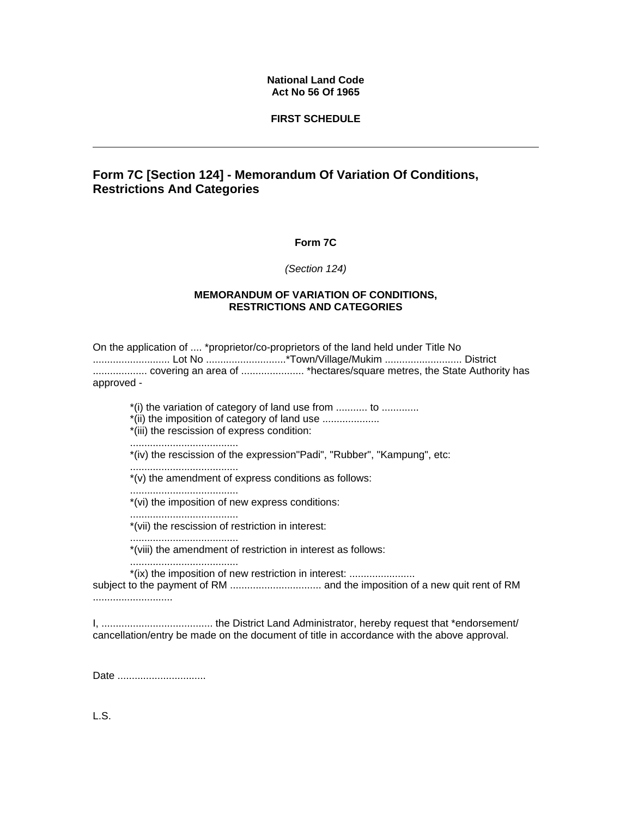### **National Land Code Act No 56 Of 1965**

### **FIRST SCHEDULE**

# **Form 7C [Section 124] - Memorandum Of Variation Of Conditions, Restrictions And Categories**

### **Form 7C**

#### *(Section 124)*

#### **MEMORANDUM OF VARIATION OF CONDITIONS, RESTRICTIONS AND CATEGORIES**

On the application of .... \*proprietor/co-proprietors of the land held under Title No ........................... Lot No ............................\*Town/Village/Mukim ........................... District ................... covering an area of ...................... \*hectares/square metres, the State Authority has approved -

\*(i) the variation of category of land use from ........... to .............

\*(ii) the imposition of category of land use ....................

\*(iii) the rescission of express condition:

......................................

\*(iv) the rescission of the expression"Padi", "Rubber", "Kampung", etc:

......................................

\*(v) the amendment of express conditions as follows:

\*(vi) the imposition of new express conditions:

......................................

......................................

\*(vii) the rescission of restriction in interest:

...................................... \*(viii) the amendment of restriction in interest as follows:

......................................

\*(ix) the imposition of new restriction in interest: .......................

subject to the payment of RM ................................ and the imposition of a new quit rent of RM ............................

I, ....................................... the District Land Administrator, hereby request that \*endorsement/ cancellation/entry be made on the document of title in accordance with the above approval.

Date ................................

L.S.